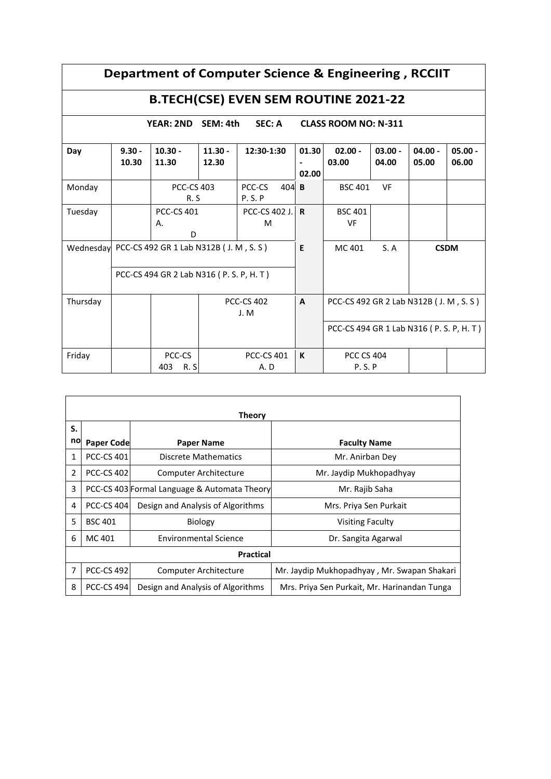| Department of Computer Science & Engineering, RCCIIT |                   |                                                  |                          |                           |                |                                          |                                        |                    |                    |  |
|------------------------------------------------------|-------------------|--------------------------------------------------|--------------------------|---------------------------|----------------|------------------------------------------|----------------------------------------|--------------------|--------------------|--|
| <b>B.TECH(CSE) EVEN SEM ROUTINE 2021-22</b>          |                   |                                                  |                          |                           |                |                                          |                                        |                    |                    |  |
| <b>SEC: A</b><br><b>YEAR: 2ND</b><br>SEM: 4th        |                   |                                                  |                          |                           |                | <b>CLASS ROOM NO: N-311</b>              |                                        |                    |                    |  |
| Day                                                  | $9.30 -$<br>10.30 | $10.30 -$<br>11.30                               | $11.30 -$<br>12.30       | 12:30-1:30                | 01.30<br>02.00 | $02.00 -$<br>03.00                       | $03.00 -$<br>04.00                     | $04.00 -$<br>05.00 | $05.00 -$<br>06.00 |  |
| Monday                                               |                   |                                                  | <b>PCC-CS 403</b><br>R.S |                           | $404$ B        | <b>BSC 401</b>                           | VF                                     |                    |                    |  |
| Tuesday                                              |                   | <b>PCC-CS 401</b><br>А.<br>D                     |                          | PCC-CS 402 J. R<br>M      |                | <b>BSC 401</b><br><b>VF</b>              |                                        |                    |                    |  |
|                                                      |                   | Wednesday PCC-CS 492 GR 1 Lab N312B (J. M, S. S) |                          |                           | E              | MC 401                                   | S. A                                   |                    | <b>CSDM</b>        |  |
|                                                      |                   | PCC-CS 494 GR 2 Lab N316 (P. S. P. H. T)         |                          |                           |                |                                          |                                        |                    |                    |  |
| Thursday                                             |                   |                                                  |                          | <b>PCC-CS 402</b><br>J. M | $\mathbf{A}$   |                                          | PCC-CS 492 GR 2 Lab N312B (J. M, S. S) |                    |                    |  |
|                                                      |                   |                                                  |                          |                           |                | PCC-CS 494 GR 1 Lab N316 (P. S. P, H. T) |                                        |                    |                    |  |
| Friday                                               |                   | PCC-CS<br>403<br>R.S                             |                          | <b>PCC-CS 401</b><br>A.D  | K              | <b>PCC CS 404</b><br>P.S.P               |                                        |                    |                    |  |

|                | Theory            |                                              |                                              |  |  |  |  |  |  |  |
|----------------|-------------------|----------------------------------------------|----------------------------------------------|--|--|--|--|--|--|--|
| S.             |                   |                                              |                                              |  |  |  |  |  |  |  |
| no             | <b>Paper Code</b> | <b>Paper Name</b>                            | <b>Faculty Name</b>                          |  |  |  |  |  |  |  |
| 1              | <b>PCC-CS 401</b> | Discrete Mathematics                         | Mr. Anirban Dey                              |  |  |  |  |  |  |  |
| $\overline{2}$ | <b>PCC-CS 402</b> | Computer Architecture                        | Mr. Jaydip Mukhopadhyay                      |  |  |  |  |  |  |  |
| 3              |                   | PCC-CS 403 Formal Language & Automata Theory | Mr. Rajib Saha                               |  |  |  |  |  |  |  |
| 4              | <b>PCC-CS 404</b> | Design and Analysis of Algorithms            | Mrs. Priya Sen Purkait                       |  |  |  |  |  |  |  |
| 5              | <b>BSC 401</b>    | Biology                                      | <b>Visiting Faculty</b>                      |  |  |  |  |  |  |  |
| 6              | MC 401            | <b>Environmental Science</b>                 | Dr. Sangita Agarwal                          |  |  |  |  |  |  |  |
|                | <b>Practical</b>  |                                              |                                              |  |  |  |  |  |  |  |
| 7              | <b>PCC-CS 492</b> | Computer Architecture                        | Mr. Jaydip Mukhopadhyay, Mr. Swapan Shakari  |  |  |  |  |  |  |  |
| 8              | <b>PCC-CS 494</b> | Design and Analysis of Algorithms            | Mrs. Priya Sen Purkait, Mr. Harinandan Tunga |  |  |  |  |  |  |  |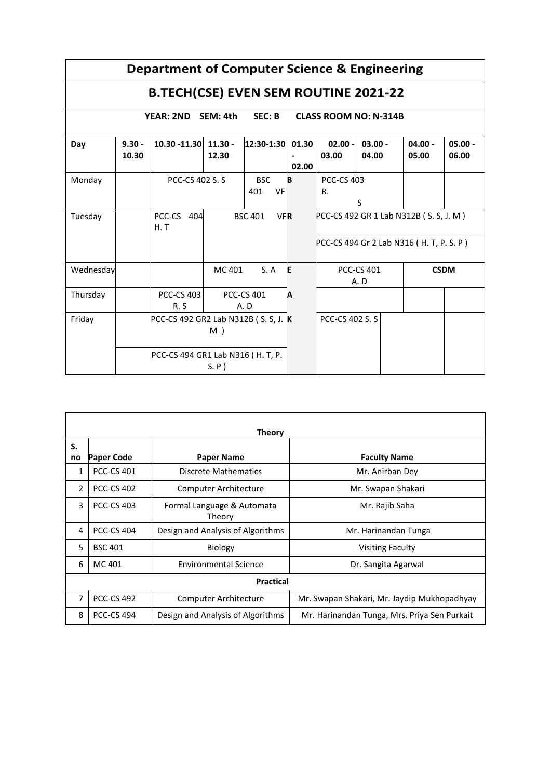| Department of Computer Science & Engineering |                                                                        |                                      |                              |                          |                |                                         |                    |                                          |                    |
|----------------------------------------------|------------------------------------------------------------------------|--------------------------------------|------------------------------|--------------------------|----------------|-----------------------------------------|--------------------|------------------------------------------|--------------------|
| <b>B.TECH(CSE) EVEN SEM ROUTINE 2021-22</b>  |                                                                        |                                      |                              |                          |                |                                         |                    |                                          |                    |
|                                              | SEC: B<br>SEM: 4th<br><b>CLASS ROOM NO: N-314B</b><br><b>YEAR: 2ND</b> |                                      |                              |                          |                |                                         |                    |                                          |                    |
| Day                                          | $9.30 -$<br>10.30                                                      | 10.30 -11.30                         | $11.30 -$<br>12.30           | 12:30-1:30               | 01.30<br>02.00 | $02.00 -$<br>03.00                      | $03.00 -$<br>04.00 | $04.00 -$<br>05.00                       | $05.00 -$<br>06.00 |
| Monday                                       |                                                                        | <b>PCC-CS 402 S. S.</b>              |                              | <b>BSC</b><br>401<br>VF  | B              | <b>PCC-CS 403</b><br>R.                 | S                  |                                          |                    |
| Tuesday                                      |                                                                        | PCC-CS 404<br>H. T                   | <b>BSC 401</b><br><b>VFR</b> |                          |                | PCC-CS 492 GR 1 Lab N312B (S. S, J. M)  |                    |                                          |                    |
|                                              |                                                                        |                                      |                              |                          |                |                                         |                    | PCC-CS 494 Gr 2 Lab N316 (H. T, P. S. P) |                    |
| Wednesday                                    |                                                                        |                                      | MC 401                       | S. A                     | E              | <b>PCC-CS 401</b><br><b>CSDM</b><br>A.D |                    |                                          |                    |
| Thursday                                     |                                                                        | <b>PCC-CS 403</b><br>R.S             |                              | <b>PCC-CS 401</b><br>A.D | Α              |                                         |                    |                                          |                    |
| Friday                                       |                                                                        | PCC-CS 492 GR2 Lab N312B (S. S, J. K | M)                           |                          |                | <b>PCC-CS 402 S.S.</b>                  |                    |                                          |                    |
|                                              |                                                                        | PCC-CS 494 GR1 Lab N316 (H. T, P.    | $S.P$ )                      |                          |                |                                         |                    |                                          |                    |

|                  | <b>Theory</b>     |                                      |                                              |  |  |  |  |  |  |
|------------------|-------------------|--------------------------------------|----------------------------------------------|--|--|--|--|--|--|
| S.               |                   |                                      |                                              |  |  |  |  |  |  |
| no               | <b>Paper Code</b> | <b>Paper Name</b>                    | <b>Faculty Name</b>                          |  |  |  |  |  |  |
| 1                | <b>PCC-CS 401</b> | Discrete Mathematics                 | Mr. Anirban Dey                              |  |  |  |  |  |  |
| $\mathfrak{p}$   | <b>PCC-CS 402</b> | Computer Architecture                | Mr. Swapan Shakari                           |  |  |  |  |  |  |
| 3                | <b>PCC-CS 403</b> | Formal Language & Automata<br>Theory | Mr. Rajib Saha                               |  |  |  |  |  |  |
| 4                | <b>PCC-CS 404</b> | Design and Analysis of Algorithms    | Mr. Harinandan Tunga                         |  |  |  |  |  |  |
| 5                | <b>BSC 401</b>    | Biology                              | <b>Visiting Faculty</b>                      |  |  |  |  |  |  |
| 6                | MC 401            | <b>Environmental Science</b>         | Dr. Sangita Agarwal                          |  |  |  |  |  |  |
| <b>Practical</b> |                   |                                      |                                              |  |  |  |  |  |  |
| 7                | <b>PCC-CS 492</b> | Computer Architecture                | Mr. Swapan Shakari, Mr. Jaydip Mukhopadhyay  |  |  |  |  |  |  |
| 8                | <b>PCC-CS 494</b> | Design and Analysis of Algorithms    | Mr. Harinandan Tunga, Mrs. Priya Sen Purkait |  |  |  |  |  |  |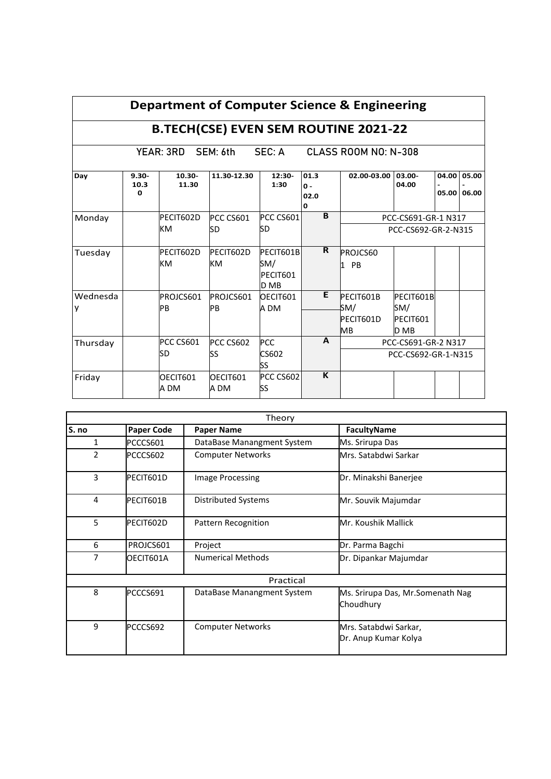|                                                      | Department of Computer Science & Engineering |                        |                       |                                      |                                        |                                            |                                      |                |                |  |
|------------------------------------------------------|----------------------------------------------|------------------------|-----------------------|--------------------------------------|----------------------------------------|--------------------------------------------|--------------------------------------|----------------|----------------|--|
| <b>B.TECH(CSE) EVEN SEM ROUTINE 2021-22</b>          |                                              |                        |                       |                                      |                                        |                                            |                                      |                |                |  |
| YEAR: 3RD SEM: 6th<br>SEC: A<br>CLASS ROOM NO: N-308 |                                              |                        |                       |                                      |                                        |                                            |                                      |                |                |  |
| Day                                                  | $9.30 -$<br>10.3<br>0                        | $10.30 -$<br>11.30     | 11.30-12.30           | $12:30-$<br>1:30                     | 01.3<br>$\Omega -$<br>02.0<br>$\Omega$ | 02.00-03.00                                | 03.00-<br>04.00                      | 04.00<br>05.00 | 05.00<br>06.00 |  |
| Monday                                               |                                              | PECIT602D<br>КM        | PCC CS601<br>SD       | PCC CS601<br>SD                      | B                                      | PCC-CS691-GR-1 N317<br>PCC-CS692-GR-2-N315 |                                      |                |                |  |
| Tuesday                                              |                                              | PECIT602D<br><b>KM</b> | PECIT602D<br>KM       | PFCIT601B<br>SM/<br>PECIT601<br>D MB | $\overline{\mathsf{R}}$                | PROJCS60<br><b>PB</b><br>I1.               |                                      |                |                |  |
| Wednesda<br>у                                        |                                              | PROJCS601<br>PB        | PROJCS601<br>PB       | OECIT601<br>A DM                     | E                                      | PECIT601B<br>SM/<br>PECIT601D<br>MВ        | PECIT601B<br>SM/<br>PECIT601<br>D MB |                |                |  |
| Thursday                                             |                                              | PCC CS601<br>SD        | <b>PCC CS602</b><br>ß | PCC<br>CS602<br>SS                   | $\mathbf{A}$                           | PCC-CS691-GR-2 N317<br>PCC-CS692-GR-1-N315 |                                      |                |                |  |
| Friday                                               |                                              | OECIT601<br>A DM       | OECIT601<br>A DM      | PCC CS602<br>SS                      | K                                      |                                            |                                      |                |                |  |

⅂

Γ

| Theory         |                   |                            |                                                |  |  |  |  |  |  |
|----------------|-------------------|----------------------------|------------------------------------------------|--|--|--|--|--|--|
| S. no          | <b>Paper Code</b> | <b>Paper Name</b>          | <b>FacultyName</b>                             |  |  |  |  |  |  |
| 1              | PCCCS601          | DataBase Manangment System | Ms. Srirupa Das                                |  |  |  |  |  |  |
| $\overline{2}$ | PCCCS602          | <b>Computer Networks</b>   | Mrs. Satabdwi Sarkar                           |  |  |  |  |  |  |
| $\overline{3}$ | PECIT601D         | <b>Image Processing</b>    | Dr. Minakshi Banerjee                          |  |  |  |  |  |  |
| 4              | PECIT601B         | Distributed Systems        | Mr. Souvik Majumdar                            |  |  |  |  |  |  |
| 5              | PECIT602D         | Pattern Recognition        | Mr. Koushik Mallick                            |  |  |  |  |  |  |
| 6              | PROJCS601         | Project                    | Dr. Parma Bagchi                               |  |  |  |  |  |  |
| 7              | OECIT601A         | <b>Numerical Methods</b>   | Dr. Dipankar Majumdar                          |  |  |  |  |  |  |
|                |                   | Practical                  |                                                |  |  |  |  |  |  |
| 8              | PCCCS691          | DataBase Manangment System | Ms. Srirupa Das, Mr. Somenath Nag<br>Choudhury |  |  |  |  |  |  |
| 9              | PCCCS692          | <b>Computer Networks</b>   | Mrs. Satabdwi Sarkar,<br>Dr. Anup Kumar Kolya  |  |  |  |  |  |  |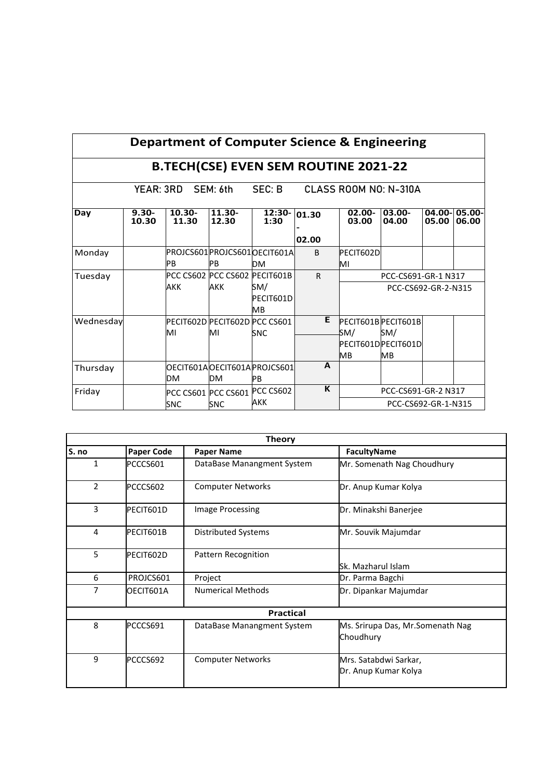|                                                          | Department of Computer Science & Engineering |                               |                 |                               |              |                     |                     |       |                       |  |
|----------------------------------------------------------|----------------------------------------------|-------------------------------|-----------------|-------------------------------|--------------|---------------------|---------------------|-------|-----------------------|--|
| <b>B.TECH(CSE) EVEN SEM ROUTINE 2021-22</b>              |                                              |                               |                 |                               |              |                     |                     |       |                       |  |
| SEC: B<br>YEAR: 3RD<br>SEM: 6th<br>CLASS ROOM NO: N-310A |                                              |                               |                 |                               |              |                     |                     |       |                       |  |
| Day                                                      | $9.30 -$<br>10.30                            | $10.30 -$<br>11.30            | 11.30-<br>12.30 | $12:30-$<br>1:30              | 01.30        | $02.00 -$<br>03.00  | $03.00 -$<br>04.00  | 05.00 | 04.00-05.00-<br>06.00 |  |
|                                                          |                                              |                               |                 |                               | 02.00        |                     |                     |       |                       |  |
| Monday                                                   |                                              |                               |                 | PROJCS601 PROJCS601 OECIT601A | <sub>B</sub> | PECIT602D           |                     |       |                       |  |
|                                                          |                                              | PB                            | <b>IPB</b>      | DМ                            |              | MI                  |                     |       |                       |  |
| Tuesday                                                  |                                              | PCC CS602 PCC CS602 PECIT601B |                 |                               | $\mathsf{R}$ | PCC-CS691-GR-1 N317 |                     |       |                       |  |
|                                                          |                                              | AKK                           | AKK             | SM/                           |              |                     | PCC-CS692-GR-2-N315 |       |                       |  |
|                                                          |                                              |                               |                 | PECIT601D<br>MВ               |              |                     |                     |       |                       |  |
| Wednesday                                                |                                              | PECIT602D PECIT602D PCC CS601 |                 |                               | Е            | PECIT601B PECIT601B |                     |       |                       |  |
|                                                          |                                              | MI                            | MI              | SNC                           |              | SM/                 | SM/                 |       |                       |  |
|                                                          |                                              |                               |                 |                               |              | PECIT601DPECIT601D  |                     |       |                       |  |
|                                                          |                                              |                               |                 |                               |              | <b>MB</b>           | <b>MB</b>           |       |                       |  |
| Thursday                                                 |                                              |                               |                 | OECIT601AOECIT601APROJCS601   | A            |                     |                     |       |                       |  |
|                                                          |                                              | <b>DM</b>                     | DM              | <b>PB</b>                     |              |                     |                     |       |                       |  |
| Friday                                                   |                                              | PCC CS601 PCC CS601           |                 | PCC CS602                     | K            |                     | PCC-CS691-GR-2 N317 |       |                       |  |
|                                                          |                                              | SNC                           | <b>SNC</b>      | AKK                           |              |                     | PCC-CS692-GR-1-N315 |       |                       |  |

| <b>Theory</b>  |                   |                            |                                                |  |  |  |  |  |  |
|----------------|-------------------|----------------------------|------------------------------------------------|--|--|--|--|--|--|
| S. no          | <b>Paper Code</b> | <b>Paper Name</b>          | <b>FacultyName</b>                             |  |  |  |  |  |  |
| 1              | PCCCS601          | DataBase Manangment System | Mr. Somenath Nag Choudhury                     |  |  |  |  |  |  |
| $\overline{2}$ | PCCCS602          | <b>Computer Networks</b>   | Dr. Anup Kumar Kolya                           |  |  |  |  |  |  |
| 3              | PECIT601D         | <b>Image Processing</b>    | Dr. Minakshi Banerjee                          |  |  |  |  |  |  |
| 4              | PECIT601B         | <b>Distributed Systems</b> | Mr. Souvik Majumdar                            |  |  |  |  |  |  |
| 5              | PECIT602D         | Pattern Recognition        | Sk. Mazharul Islam                             |  |  |  |  |  |  |
| 6              | PROJCS601         | Project                    | Dr. Parma Bagchi                               |  |  |  |  |  |  |
| 7              | OECIT601A         | <b>Numerical Methods</b>   | Dr. Dipankar Majumdar                          |  |  |  |  |  |  |
|                |                   | <b>Practical</b>           |                                                |  |  |  |  |  |  |
| 8              | PCCCS691          | DataBase Manangment System | Ms. Srirupa Das, Mr. Somenath Nag<br>Choudhury |  |  |  |  |  |  |
| 9              | PCCCS692          | <b>Computer Networks</b>   | Mrs. Satabdwi Sarkar,<br>Dr. Anup Kumar Kolya  |  |  |  |  |  |  |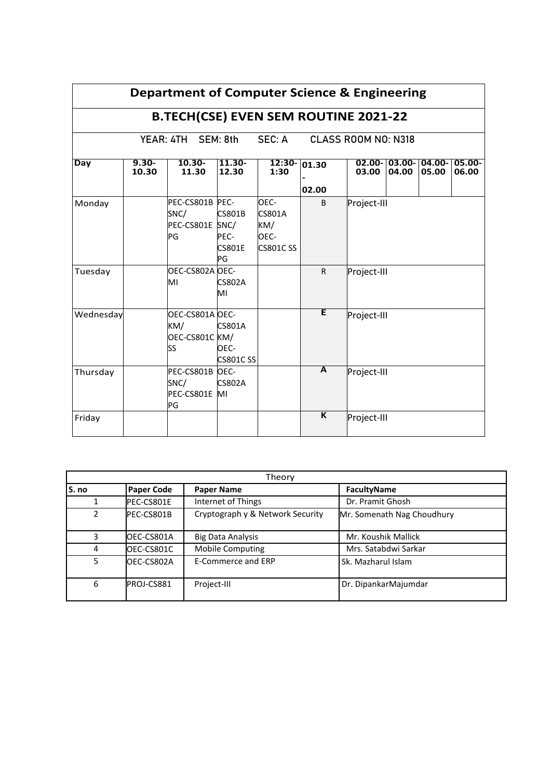| Department of Computer Science & Engineering               |                   |                                                       |                                              |                                                         |                         |             |                            |                 |                 |
|------------------------------------------------------------|-------------------|-------------------------------------------------------|----------------------------------------------|---------------------------------------------------------|-------------------------|-------------|----------------------------|-----------------|-----------------|
| <b>B.TECH(CSE) EVEN SEM ROUTINE 2021-22</b>                |                   |                                                       |                                              |                                                         |                         |             |                            |                 |                 |
| SEC: A<br>YEAR: 4TH SEM: 8th<br><b>CLASS ROOM NO: N318</b> |                   |                                                       |                                              |                                                         |                         |             |                            |                 |                 |
| Day                                                        | $9.30 -$<br>10.30 | $10.30 -$<br>11.30                                    | $11.30 -$<br>12.30                           | $12:30-$<br>1:30                                        | 01.30                   | 03.00       | $02.00 - 03.00 -$<br>04.00 | 04.00-<br>05.00 | 05.00-<br>06.00 |
|                                                            |                   |                                                       |                                              |                                                         | 02.00                   |             |                            |                 |                 |
| Monday                                                     |                   | PEC-CS801B PEC-<br>SNC/<br>PEC-CS801E SNC/<br>PG      | <b>CS801B</b><br>PEC-<br><b>CS801E</b><br>PG | OEC-<br><b>CS801A</b><br>KM/<br>OEC-<br><b>CS801CSS</b> | <sub>B</sub>            | Project-III |                            |                 |                 |
| Tuesday                                                    |                   | OEC-CS802A OEC-<br>MI                                 | <b>CS802A</b><br>MI                          |                                                         | $\mathsf{R}$            | Project-III |                            |                 |                 |
| Wednesday                                                  |                   | OEC-CS801A OEC-<br>KM/<br>OEC-CS801C KM/<br><b>SS</b> | <b>CS801A</b><br>OEC-<br><b>CS801CSS</b>     |                                                         | E                       | Project-III |                            |                 |                 |
| Thursday                                                   |                   | PEC-CS801B OEC-<br>SNC/<br>PEC-CS801E MI<br>PG        | <b>CS802A</b>                                |                                                         | A                       | Project-III |                            |                 |                 |
| Friday                                                     |                   |                                                       |                                              |                                                         | $\overline{\mathsf{K}}$ | Project-III |                            |                 |                 |

| Theory        |                   |                                  |                            |  |  |  |  |  |  |
|---------------|-------------------|----------------------------------|----------------------------|--|--|--|--|--|--|
| S. no         | <b>Paper Code</b> | <b>Paper Name</b>                | FacultyName                |  |  |  |  |  |  |
|               | PEC-CS801E        | Internet of Things               | Dr. Pramit Ghosh           |  |  |  |  |  |  |
| $\mathcal{P}$ | PEC-CS801B        | Cryptograph y & Network Security | Mr. Somenath Nag Choudhury |  |  |  |  |  |  |
| ς             | OEC-CS801A        | <b>Big Data Analysis</b>         | Mr. Koushik Mallick        |  |  |  |  |  |  |
| 4             | OEC-CS801C        | <b>Mobile Computing</b>          | Mrs. Satabdwi Sarkar       |  |  |  |  |  |  |
| 5             | OEC-CS802A        | E-Commerce and ERP               | Sk. Mazharul Islam         |  |  |  |  |  |  |
| 6             | PROJ-CS881        | Project-III                      | Dr. DipankarMajumdar       |  |  |  |  |  |  |